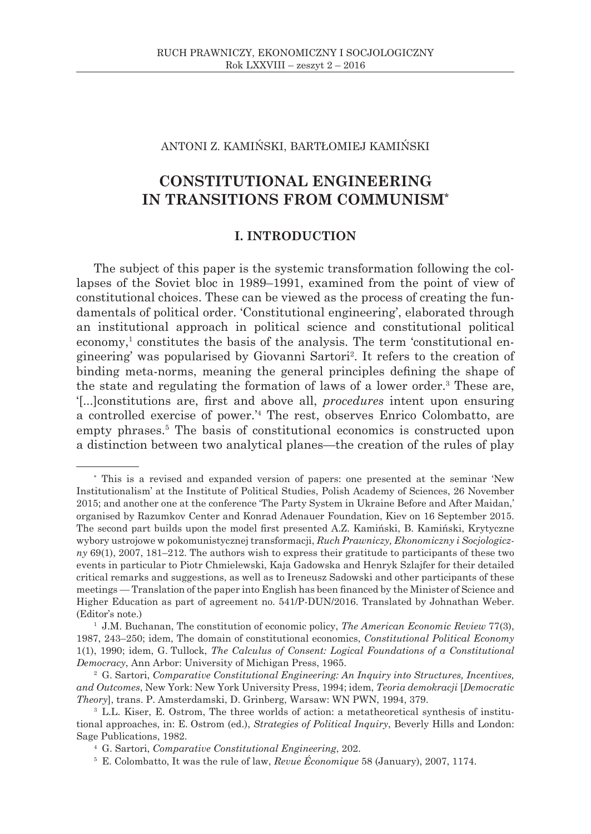## ANTONI Z. KAMIŃSKI, BARTŁOMIEJ KAMIŃSKI

# **CONSTITUTIONAL ENGINEERING IN TRANSITIONS FROM COMMUNISM\***

# **I. INTRODUCTION**

The subject of this paper is the systemic transformation following the collapses of the Soviet bloc in 1989–1991, examined from the point of view of constitutional choices. These can be viewed as the process of creating the fundamentals of political order. 'Constitutional engineering', elaborated through an institutional approach in political science and constitutional political economy,<sup>1</sup> constitutes the basis of the analysis. The term 'constitutional engineering' was popularised by Giovanni Sartori<sup>2</sup> . It refers to the creation of binding meta-norms, meaning the general principles defining the shape of the state and regulating the formation of laws of a lower order.<sup>3</sup> These are, '[...]constitutions are, first and above all, *procedures* intent upon ensuring a controlled exercise of power.'<sup>4</sup> The rest, observes Enrico Colombatto, are empty phrases.<sup>5</sup> The basis of constitutional economics is constructed upon a distinction between two analytical planes—the creation of the rules of play

<sup>\*</sup> This is a revised and expanded version of papers: one presented at the seminar 'New Institutionalism' at the Institute of Political Studies, Polish Academy of Sciences, 26 November 2015; and another one at the conference 'The Party System in Ukraine Before and After Maidan,' organised by Razumkov Center and Konrad Adenauer Foundation, Kiev on 16 September 2015. The second part builds upon the model first presented A.Z. Kamiński, B. Kamiński, Krytyczne wybory ustrojowe w pokomunistycznej transformacji, *Ruch Prawniczy, Ekonomiczny i Socjologiczny* 69(1), 2007, 181–212. The authors wish to express their gratitude to participants of these two events in particular to Piotr Chmielewski, Kaja Gadowska and Henryk Szlajfer for their detailed critical remarks and suggestions, as well as to Ireneusz Sadowski and other participants of these meetings — Translation of the paper into English has been financed by the Minister of Science and Higher Education as part of agreement no. 541/P-DUN/2016. Translated by Johnathan Weber. (Editor's note.)

<sup>1</sup> J.M. Buchanan, The constitution of economic policy, *The American Economic Review* 77(3), 1987, 243–250; idem, The domain of constitutional economics, *Constitutional Political Economy* 1(1), 1990; idem, G. Tullock, *The Calculus of Consent: Logical Foundations of a Constitutional Democracy*, Ann Arbor: University of Michigan Press, 1965.

<sup>2</sup> G. Sartori, *Comparative Constitutional Engineering: An Inquiry into Structures, Incentives, and Outcomes*, New York: New York University Press, 1994; idem, *Teoria demokracji* [*Democratic Theory*], trans. P. Amsterdamski, D. Grinberg, Warsaw: WN PWN, 1994, 379.

<sup>3</sup> L.L. Kiser, E. Ostrom, The three worlds of action: a metatheoretical synthesis of institutional approaches, in: E. Ostrom (ed.), *Strategies of Political Inquiry*, Beverly Hills and London: Sage Publications, 1982.

<sup>4</sup> G. Sartori, *Comparative Constitutional Engineering*, 202.

<sup>5</sup> E. Colombatto, It was the rule of law, *Revue Économique* 58 (January), 2007, 1174.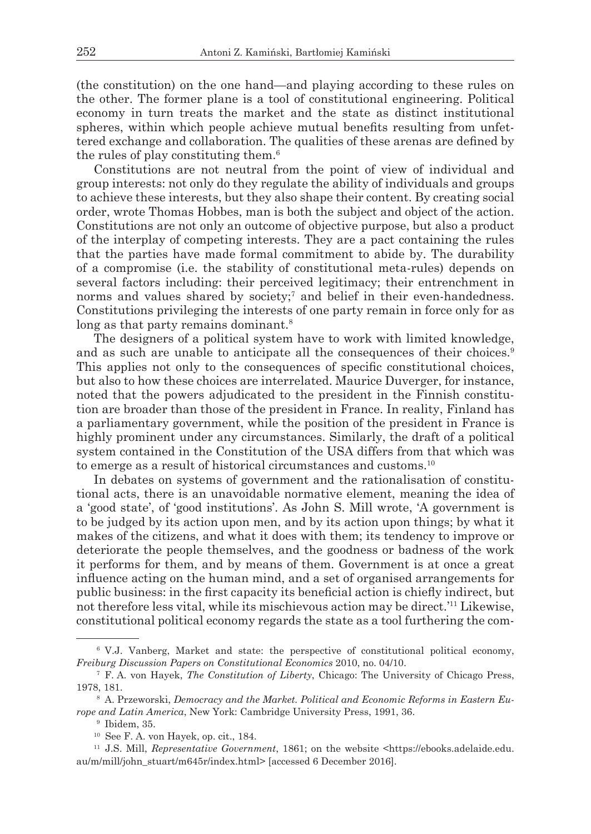(the constitution) on the one hand—and playing according to these rules on the other. The former plane is a tool of constitutional engineering. Political economy in turn treats the market and the state as distinct institutional spheres, within which people achieve mutual benefits resulting from unfettered exchange and collaboration. The qualities of these arenas are defined by the rules of play constituting them.<sup>6</sup>

Constitutions are not neutral from the point of view of individual and group interests: not only do they regulate the ability of individuals and groups to achieve these interests, but they also shape their content. By creating social order, wrote Thomas Hobbes, man is both the subject and object of the action. Constitutions are not only an outcome of objective purpose, but also a product of the interplay of competing interests. They are a pact containing the rules that the parties have made formal commitment to abide by. The durability of a compromise (i.e. the stability of constitutional meta-rules) depends on several factors including: their perceived legitimacy; their entrenchment in norms and values shared by society;<sup>7</sup> and belief in their even-handedness. Constitutions privileging the interests of one party remain in force only for as long as that party remains dominant.<sup>8</sup>

The designers of a political system have to work with limited knowledge, and as such are unable to anticipate all the consequences of their choices.<sup>9</sup> This applies not only to the consequences of specific constitutional choices, but also to how these choices are interrelated. Maurice Duverger, for instance, noted that the powers adjudicated to the president in the Finnish constitution are broader than those of the president in France. In reality, Finland has a parliamentary government, while the position of the president in France is highly prominent under any circumstances. Similarly, the draft of a political system contained in the Constitution of the USA differs from that which was to emerge as a result of historical circumstances and customs.<sup>10</sup>

In debates on systems of government and the rationalisation of constitutional acts, there is an unavoidable normative element, meaning the idea of a 'good state', of 'good institutions'. As John S. Mill wrote, 'A government is to be judged by its action upon men, and by its action upon things; by what it makes of the citizens, and what it does with them; its tendency to improve or deteriorate the people themselves, and the goodness or badness of the work it performs for them, and by means of them. Government is at once a great influence acting on the human mind, and a set of organised arrangements for public business: in the first capacity its beneficial action is chiefly indirect, but not therefore less vital, while its mischievous action may be direct.'11 Likewise, constitutional political economy regards the state as a tool furthering the com-

<sup>6</sup> V.J. Vanberg, Market and state: the perspective of constitutional political economy, *Freiburg Discussion Papers on Constitutional Economics* 2010, no. 04/10.

<sup>7</sup> F. A. von Hayek, *The Constitution of Liberty*, Chicago: The University of Chicago Press, 1978, 181.

<sup>8</sup> A. Przeworski, *Democracy and the Market. Political and Economic Reforms in Eastern Europe and Latin America*, New York: Cambridge University Press, 1991, 36.

<sup>9</sup> Ibidem, 35.

<sup>10</sup> See F. A. von Hayek, op. cit., 184.

<sup>11</sup> J.S. Mill, *Representative Government*, 1861; on the website <https://ebooks.adelaide.edu. au/m/mill/john\_stuart/m645r/index.html> [accessed 6 December 2016].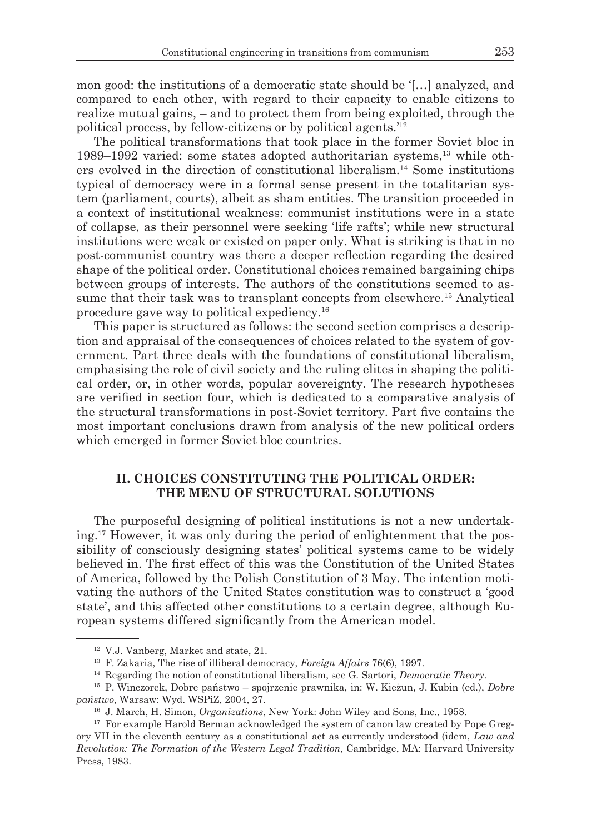mon good: the institutions of a democratic state should be '[…] analyzed, and compared to each other, with regard to their capacity to enable citizens to realize mutual gains, – and to protect them from being exploited, through the political process, by fellow-citizens or by political agents.'12

The political transformations that took place in the former Soviet bloc in 1989–1992 varied: some states adopted authoritarian systems,13 while others evolved in the direction of constitutional liberalism.14 Some institutions typical of democracy were in a formal sense present in the totalitarian system (parliament, courts), albeit as sham entities. The transition proceeded in a context of institutional weakness: communist institutions were in a state of collapse, as their personnel were seeking 'life rafts'; while new structural institutions were weak or existed on paper only. What is striking is that in no post-communist country was there a deeper reflection regarding the desired shape of the political order. Constitutional choices remained bargaining chips between groups of interests. The authors of the constitutions seemed to assume that their task was to transplant concepts from elsewhere.15 Analytical procedure gave way to political expediency.16

This paper is structured as follows: the second section comprises a description and appraisal of the consequences of choices related to the system of government. Part three deals with the foundations of constitutional liberalism, emphasising the role of civil society and the ruling elites in shaping the political order, or, in other words, popular sovereignty. The research hypotheses are verified in section four, which is dedicated to a comparative analysis of the structural transformations in post-Soviet territory. Part five contains the most important conclusions drawn from analysis of the new political orders which emerged in former Soviet bloc countries.

### **II. CHOICES CONSTITUTING THE POLITICAL ORDER: THE MENU OF STRUCTURAL SOLUTIONS**

The purposeful designing of political institutions is not a new undertaking.17 However, it was only during the period of enlightenment that the possibility of consciously designing states' political systems came to be widely believed in. The first effect of this was the Constitution of the United States of America, followed by the Polish Constitution of 3 May. The intention motivating the authors of the United States constitution was to construct a 'good state', and this affected other constitutions to a certain degree, although European systems differed significantly from the American model.

<sup>12</sup> V.J. Vanberg, Market and state, 21.

<sup>13</sup> F. Zakaria, The rise of illiberal democracy, *Foreign Affairs* 76(6), 1997.

<sup>14</sup> Regarding the notion of constitutional liberalism, see G. Sartori, *Democratic Theory*.

<sup>15</sup> P. Winczorek, Dobre państwo – spojrzenie prawnika, in: W. Kieżun, J. Kubin (ed.), *Dobre państwo*, Warsaw: Wyd. WSPiZ, 2004, 27.

<sup>16</sup> J. March, H. Simon, *Organizations*, New York: John Wiley and Sons, Inc., 1958.

<sup>&</sup>lt;sup>17</sup> For example Harold Berman acknowledged the system of canon law created by Pope Gregory VII in the eleventh century as a constitutional act as currently understood (idem, *Law and Revolution: The Formation of the Western Legal Tradition*, Cambridge, MA: Harvard University Press, 1983.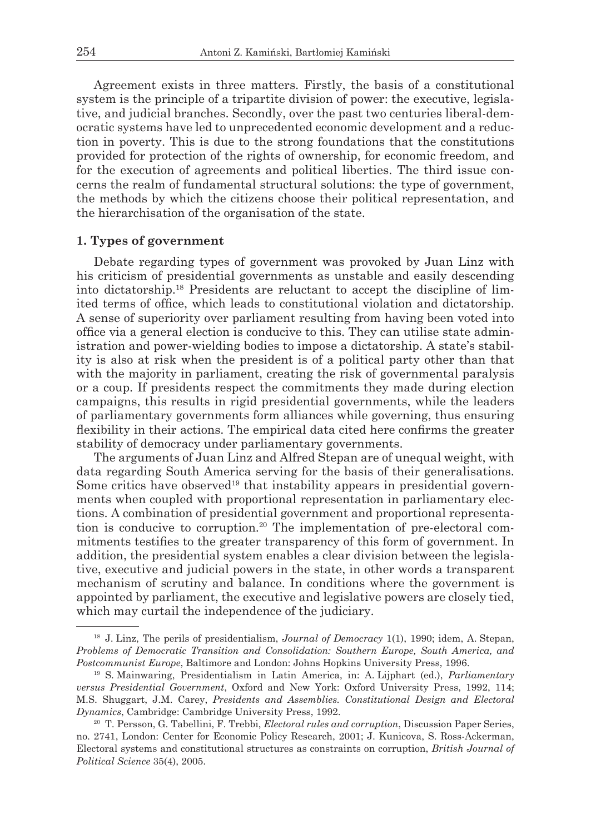Agreement exists in three matters. Firstly, the basis of a constitutional system is the principle of a tripartite division of power: the executive, legislative, and judicial branches. Secondly, over the past two centuries liberal-democratic systems have led to unprecedented economic development and a reduction in poverty. This is due to the strong foundations that the constitutions provided for protection of the rights of ownership, for economic freedom, and for the execution of agreements and political liberties. The third issue concerns the realm of fundamental structural solutions: the type of government, the methods by which the citizens choose their political representation, and the hierarchisation of the organisation of the state.

#### **1. Types of government**

Debate regarding types of government was provoked by Juan Linz with his criticism of presidential governments as unstable and easily descending into dictatorship.18 Presidents are reluctant to accept the discipline of limited terms of office, which leads to constitutional violation and dictatorship. A sense of superiority over parliament resulting from having been voted into office via a general election is conducive to this. They can utilise state administration and power-wielding bodies to impose a dictatorship. A state's stability is also at risk when the president is of a political party other than that with the majority in parliament, creating the risk of governmental paralysis or a coup. If presidents respect the commitments they made during election campaigns, this results in rigid presidential governments, while the leaders of parliamentary governments form alliances while governing, thus ensuring flexibility in their actions. The empirical data cited here confirms the greater stability of democracy under parliamentary governments.

The arguments of Juan Linz and Alfred Stepan are of unequal weight, with data regarding South America serving for the basis of their generalisations. Some critics have observed<sup>19</sup> that instability appears in presidential governments when coupled with proportional representation in parliamentary elections. A combination of presidential government and proportional representation is conducive to corruption.20 The implementation of pre-electoral commitments testifies to the greater transparency of this form of government. In addition, the presidential system enables a clear division between the legislative, executive and judicial powers in the state, in other words a transparent mechanism of scrutiny and balance. In conditions where the government is appointed by parliament, the executive and legislative powers are closely tied, which may curtail the independence of the judiciary.

<sup>18</sup> J. Linz, The perils of presidentialism, *Journal of Democracy* 1(1), 1990; idem, A. Stepan, *Problems of Democratic Transition and Consolidation: Southern Europe, South America, and Postcommunist Europe*, Baltimore and London: Johns Hopkins University Press, 1996.

<sup>19</sup> S. Mainwaring, Presidentialism in Latin America, in: A. Lijphart (ed.), *Parliamentary versus Presidential Government*, Oxford and New York: Oxford University Press, 1992, 114; M.S. Shuggart, J.M. Carey, *Presidents and Assemblies. Constitutional Design and Electoral Dynamics*, Cambridge: Cambridge University Press, 1992.

<sup>20</sup> T. Persson, G. Tabellini, F. Trebbi, *Electoral rules and corruption*, Discussion Paper Series, no. 2741, London: Center for Economic Policy Research, 2001; J. Kunicova, S. Ross-Ackerman, Electoral systems and constitutional structures as constraints on corruption, *British Journal of Political Science* 35(4), 2005.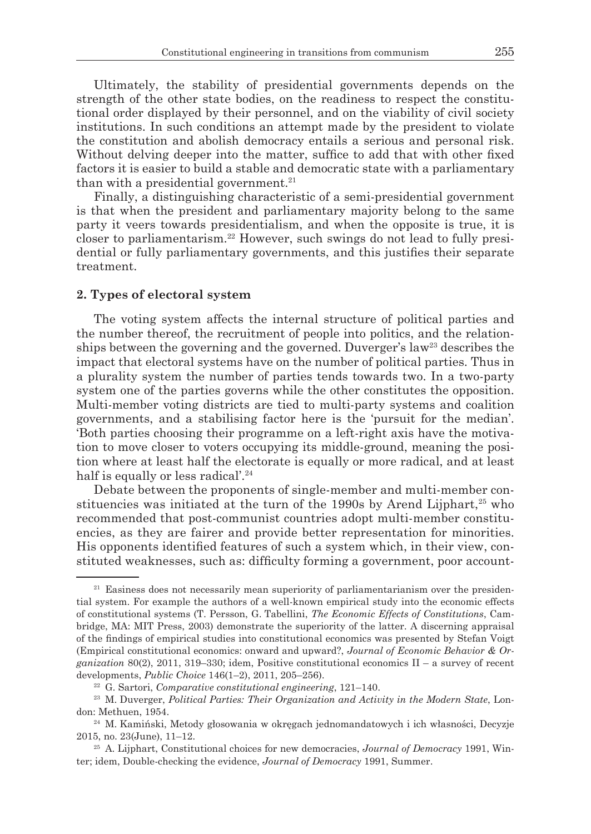Ultimately, the stability of presidential governments depends on the strength of the other state bodies, on the readiness to respect the constitutional order displayed by their personnel, and on the viability of civil society institutions. In such conditions an attempt made by the president to violate the constitution and abolish democracy entails a serious and personal risk. Without delving deeper into the matter, suffice to add that with other fixed factors it is easier to build a stable and democratic state with a parliamentary than with a presidential government.<sup>21</sup>

Finally, a distinguishing characteristic of a semi-presidential government is that when the president and parliamentary majority belong to the same party it veers towards presidentialism, and when the opposite is true, it is closer to parliamentarism.22 However, such swings do not lead to fully presidential or fully parliamentary governments, and this justifies their separate treatment.

#### **2. Types of electoral system**

The voting system affects the internal structure of political parties and the number thereof, the recruitment of people into politics, and the relationships between the governing and the governed. Duverger's law<sup>23</sup> describes the impact that electoral systems have on the number of political parties. Thus in a plurality system the number of parties tends towards two. In a two-party system one of the parties governs while the other constitutes the opposition. Multi-member voting districts are tied to multi-party systems and coalition governments, and a stabilising factor here is the 'pursuit for the median'. 'Both parties choosing their programme on a left-right axis have the motivation to move closer to voters occupying its middle-ground, meaning the position where at least half the electorate is equally or more radical, and at least half is equally or less radical'.<sup>24</sup>

Debate between the proponents of single-member and multi-member constituencies was initiated at the turn of the 1990s by Arend Lijphart, $25 \text{ who}$ recommended that post-communist countries adopt multi-member constituencies, as they are fairer and provide better representation for minorities. His opponents identified features of such a system which, in their view, constituted weaknesses, such as: difficulty forming a government, poor account-

<sup>&</sup>lt;sup>21</sup> Easiness does not necessarily mean superiority of parliamentarianism over the presidential system. For example the authors of a well-known empirical study into the economic effects of constitutional systems (T. Persson, G. Tabellini, *The Economic Effects of Constitutions*, Cambridge, MA: MIT Press, 2003) demonstrate the superiority of the latter. A discerning appraisal of the findings of empirical studies into constitutional economics was presented by Stefan Voigt (Empirical constitutional economics: onward and upward?, *Journal of Economic Behavior & Organization* 80(2), 2011, 319–330; idem, Positive constitutional economics II – a survey of recent developments, *Public Choice* 146(1–2), 2011, 205–256).

<sup>22</sup> G. Sartori, *Comparative constitutional engineering*, 121–140.

<sup>23</sup> M. Duverger, *Political Parties: Their Organization and Activity in the Modern State*, London: Methuen, 1954.

<sup>24</sup> M. Kamiński, Metody głosowania w okręgach jednomandatowych i ich własności, Decyzje 2015, no. 23(June), 11–12.

<sup>25</sup> A. Lijphart, Constitutional choices for new democracies, *Journal of Democracy* 1991, Winter; idem, Double-checking the evidence, *Journal of Democracy* 1991, Summer.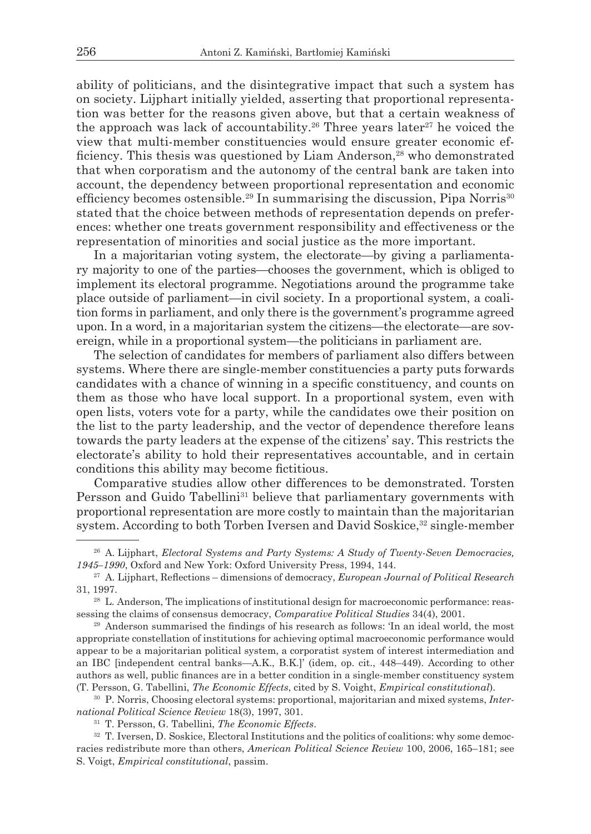ability of politicians, and the disintegrative impact that such a system has on society. Lijphart initially yielded, asserting that proportional representation was better for the reasons given above, but that a certain weakness of the approach was lack of accountability.<sup>26</sup> Three years later<sup>27</sup> he voiced the view that multi-member constituencies would ensure greater economic efficiency. This thesis was questioned by Liam Anderson,<sup>28</sup> who demonstrated that when corporatism and the autonomy of the central bank are taken into account, the dependency between proportional representation and economic efficiency becomes ostensible.<sup>29</sup> In summarising the discussion, Pipa Norris<sup>30</sup> stated that the choice between methods of representation depends on preferences: whether one treats government responsibility and effectiveness or the representation of minorities and social justice as the more important.

In a majoritarian voting system, the electorate—by giving a parliamentary majority to one of the parties—chooses the government, which is obliged to implement its electoral programme. Negotiations around the programme take place outside of parliament—in civil society. In a proportional system, a coalition forms in parliament, and only there is the government's programme agreed upon. In a word, in a majoritarian system the citizens—the electorate—are sovereign, while in a proportional system—the politicians in parliament are.

The selection of candidates for members of parliament also differs between systems. Where there are single-member constituencies a party puts forwards candidates with a chance of winning in a specific constituency, and counts on them as those who have local support. In a proportional system, even with open lists, voters vote for a party, while the candidates owe their position on the list to the party leadership, and the vector of dependence therefore leans towards the party leaders at the expense of the citizens' say. This restricts the electorate's ability to hold their representatives accountable, and in certain conditions this ability may become fictitious.

Comparative studies allow other differences to be demonstrated. Torsten Persson and Guido Tabellini<sup>31</sup> believe that parliamentary governments with proportional representation are more costly to maintain than the majoritarian system. According to both Torben Iversen and David Soskice,<sup>32</sup> single-member

<sup>26</sup> A. Lijphart, *Electoral Systems and Party Systems: A Study of Twenty-Seven Democracies, 1945–1990*, Oxford and New York: Oxford University Press, 1994, 144.

<sup>27</sup> A. Lijphart, Reflections – dimensions of democracy, *European Journal of Political Research* 31, 1997.

<sup>28</sup> L. Anderson, The implications of institutional design for macroeconomic performance: reassessing the claims of consensus democracy, *Comparative Political Studies* 34(4), 2001.

<sup>29</sup> Anderson summarised the findings of his research as follows: 'In an ideal world, the most appropriate constellation of institutions for achieving optimal macroeconomic performance would appear to be a majoritarian political system, a corporatist system of interest intermediation and an IBC [independent central banks—A.K., B.K.]' (idem, op. cit., 448–449). According to other authors as well, public finances are in a better condition in a single-member constituency system (T. Persson, G. Tabellini, *The Economic Effects*, cited by S. Voight, *Empirical constitutional*).

<sup>30</sup> P. Norris, Choosing electoral systems: proportional, majoritarian and mixed systems, *International Political Science Review* 18(3), 1997, 301.

<sup>31</sup> T. Persson, G. Tabellini, *The Economic Effects*.

<sup>&</sup>lt;sup>32</sup> T. Iversen, D. Soskice, Electoral Institutions and the politics of coalitions: why some democracies redistribute more than others, *American Political Science Review* 100, 2006, 165–181; see S. Voigt, *Empirical constitutional*, passim.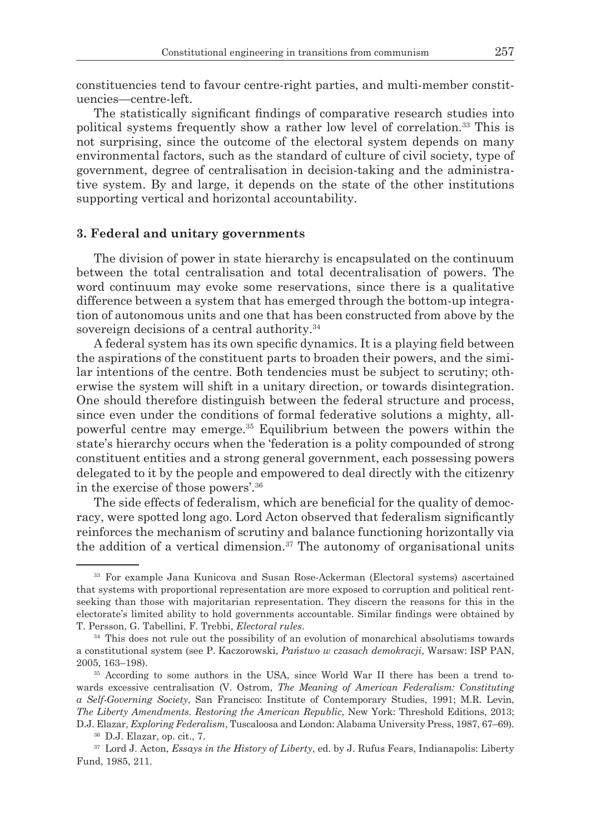constituencies tend to favour centre-right parties, and multi-member constituencies—centre-left.

The statistically significant findings of comparative research studies into political systems frequently show a rather low level of correlation.33 This is not surprising, since the outcome of the electoral system depends on many environmental factors, such as the standard of culture of civil society, type of government, degree of centralisation in decision-taking and the administrative system. By and large, it depends on the state of the other institutions supporting vertical and horizontal accountability.

### **3. Federal and unitary governments**

The division of power in state hierarchy is encapsulated on the continuum between the total centralisation and total decentralisation of powers. The word continuum may evoke some reservations, since there is a qualitative difference between a system that has emerged through the bottom-up integration of autonomous units and one that has been constructed from above by the sovereign decisions of a central authority.<sup>34</sup>

A federal system has its own specific dynamics. It is a playing field between the aspirations of the constituent parts to broaden their powers, and the similar intentions of the centre. Both tendencies must be subject to scrutiny; otherwise the system will shift in a unitary direction, or towards disintegration. One should therefore distinguish between the federal structure and process, since even under the conditions of formal federative solutions a mighty, allpowerful centre may emerge.35 Equilibrium between the powers within the state's hierarchy occurs when the 'federation is a polity compounded of strong constituent entities and a strong general government, each possessing powers delegated to it by the people and empowered to deal directly with the citizenry in the exercise of those powers'.<sup>36</sup>

The side effects of federalism, which are beneficial for the quality of democracy, were spotted long ago. Lord Acton observed that federalism significantly reinforces the mechanism of scrutiny and balance functioning horizontally via the addition of a vertical dimension.<sup>37</sup> The autonomy of organisational units

<sup>33</sup> For example Jana Kunicova and Susan Rose-Ackerman (Electoral systems) ascertained that systems with proportional representation are more exposed to corruption and political rentseeking than those with majoritarian representation. They discern the reasons for this in the electorate's limited ability to hold governments accountable. Similar findings were obtained by T. Persson, G. Tabellini, F. Trebbi, *Electoral rules*.

<sup>&</sup>lt;sup>34</sup> This does not rule out the possibility of an evolution of monarchical absolutisms towards a constitutional system (see P. Kaczorowski, *Państwo w czasach demokracji*, Warsaw: ISP PAN, 2005, 163–198).

<sup>35</sup> According to some authors in the USA, since World War II there has been a trend towards excessive centralisation (V. Ostrom, *The Meaning of American Federalism: Constituting a Self-Governing Society*, San Francisco: Institute of Contemporary Studies, 1991; M.R. Levin, *The Liberty Amendments. Restoring the American Republic*, New York: Threshold Editions, 2013; D.J. Elazar, *Exploring Federalism*, Tuscaloosa and London: Alabama University Press, 1987, 67–69).

<sup>36</sup> D.J. Elazar, op. cit., 7.

<sup>&</sup>lt;sup>37</sup> Lord J. Acton, *Essays in the History of Liberty*, ed. by J. Rufus Fears, Indianapolis: Liberty Fund, 1985, 211.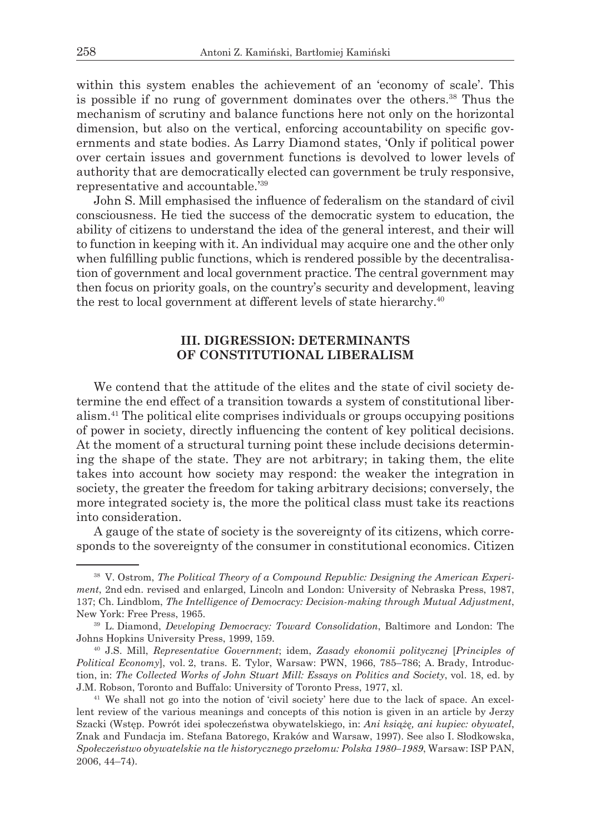within this system enables the achievement of an 'economy of scale'. This is possible if no rung of government dominates over the others.38 Thus the mechanism of scrutiny and balance functions here not only on the horizontal dimension, but also on the vertical, enforcing accountability on specific governments and state bodies. As Larry Diamond states, 'Only if political power over certain issues and government functions is devolved to lower levels of authority that are democratically elected can government be truly responsive, representative and accountable.'39

John S. Mill emphasised the influence of federalism on the standard of civil consciousness. He tied the success of the democratic system to education, the ability of citizens to understand the idea of the general interest, and their will to function in keeping with it. An individual may acquire one and the other only when fulfilling public functions, which is rendered possible by the decentralisation of government and local government practice. The central government may then focus on priority goals, on the country's security and development, leaving the rest to local government at different levels of state hierarchy.<sup>40</sup>

## **III. DIGRESSION: DETERMINANTS OF CONSTITUTIONAL LIBERALISM**

We contend that the attitude of the elites and the state of civil society determine the end effect of a transition towards a system of constitutional liberalism.41 The political elite comprises individuals or groups occupying positions of power in society, directly influencing the content of key political decisions. At the moment of a structural turning point these include decisions determining the shape of the state. They are not arbitrary; in taking them, the elite takes into account how society may respond: the weaker the integration in society, the greater the freedom for taking arbitrary decisions; conversely, the more integrated society is, the more the political class must take its reactions into consideration.

A gauge of the state of society is the sovereignty of its citizens, which corresponds to the sovereignty of the consumer in constitutional economics. Citizen

<sup>38</sup> V. Ostrom, *The Political Theory of a Compound Republic: Designing the American Experiment*, 2nd edn. revised and enlarged, Lincoln and London: University of Nebraska Press, 1987, 137; Ch. Lindblom, *The Intelligence of Democracy: Decision-making through Mutual Adjustment*, New York: Free Press, 1965.

<sup>39</sup> L. Diamond, *Developing Democracy: Toward Consolidation*, Baltimore and London: The Johns Hopkins University Press, 1999, 159.

<sup>40</sup> J.S. Mill, *Representative Government*; idem, *Zasady ekonomii politycznej* [*Principles of Political Economy*], vol. 2, trans. E. Tylor, Warsaw: PWN, 1966, 785–786; A. Brady, Introduction, in: *The Collected Works of John Stuart Mill: Essays on Politics and Society*, vol. 18, ed. by J.M. Robson, Toronto and Buffalo: University of Toronto Press, 1977, xl.

<sup>41</sup> We shall not go into the notion of 'civil society' here due to the lack of space. An excellent review of the various meanings and concepts of this notion is given in an article by Jerzy Szacki (Wstęp. Powrót idei społeczeństwa obywatelskiego, in: *Ani książę, ani kupiec: obywatel*, Znak and Fundacja im. Stefana Batorego, Kraków and Warsaw, 1997). See also I. Słodkowska, *Społeczeństwo obywatelskie na tle historycznego przełomu: Polska 1980–1989*, Warsaw: ISP PAN, 2006, 44–74).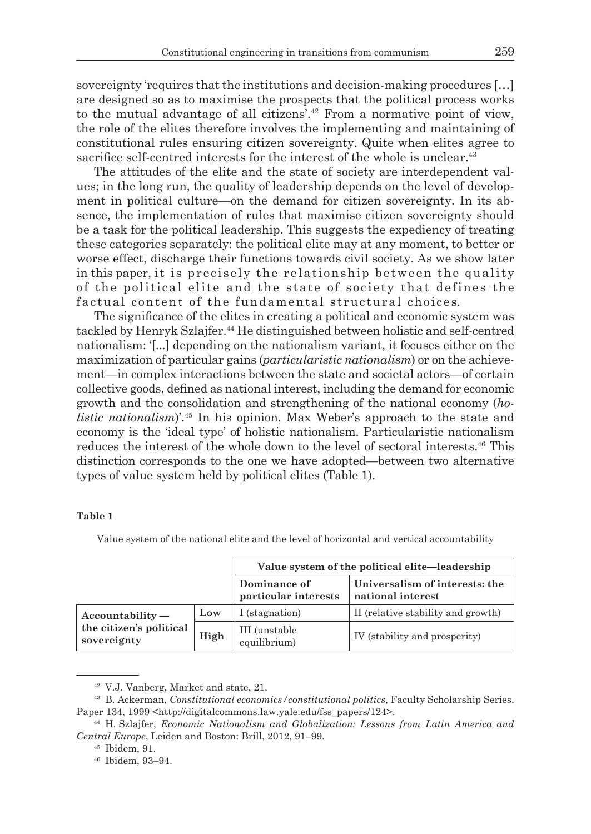sovereignty 'requires that the institutions and decision-making procedures […] are designed so as to maximise the prospects that the political process works to the mutual advantage of all citizens'.<sup>42</sup> From a normative point of view, the role of the elites therefore involves the implementing and maintaining of constitutional rules ensuring citizen sovereignty. Quite when elites agree to sacrifice self-centred interests for the interest of the whole is unclear.<sup>43</sup>

The attitudes of the elite and the state of society are interdependent values; in the long run, the quality of leadership depends on the level of development in political culture—on the demand for citizen sovereignty. In its absence, the implementation of rules that maximise citizen sovereignty should be a task for the political leadership. This suggests the expediency of treating these categories separately: the political elite may at any moment, to better or worse effect, discharge their functions towards civil society. As we show later in this paper, it is precisely the relationship between the quality of the political elite and the state of society that defines the factual content of the fundamental structural choices.

The significance of the elites in creating a political and economic system was tackled by Henryk Szlajfer.<sup>44</sup> He distinguished between holistic and self-centred nationalism: '[...] depending on the nationalism variant, it focuses either on the maximization of particular gains (*particularistic nationalism*) or on the achievement—in complex interactions between the state and societal actors—of certain collective goods, defined as national interest, including the demand for economic growth and the consolidation and strengthening of the national economy (*holistic nationalism*)'.<sup>45</sup> In his opinion, Max Weber's approach to the state and economy is the 'ideal type' of holistic nationalism. Particularistic nationalism reduces the interest of the whole down to the level of sectoral interests.46 This distinction corresponds to the one we have adopted—between two alternative types of value system held by political elites (Table 1).

#### **Table 1**

Value system of the national elite and the level of horizontal and vertical accountability

|                                                              |      | Value system of the political elite—leadership |                                                     |  |  |  |  |
|--------------------------------------------------------------|------|------------------------------------------------|-----------------------------------------------------|--|--|--|--|
|                                                              |      | Dominance of<br>particular interests           | Universalism of interests: the<br>national interest |  |  |  |  |
| $Accountability -$<br>the citizen's political<br>sovereignty | Low  | I (stagnation)                                 | II (relative stability and growth)                  |  |  |  |  |
|                                                              | High | III (unstable)<br>equilibrium)                 | IV (stability and prosperity)                       |  |  |  |  |

<sup>42</sup> V.J. Vanberg, Market and state, 21.

<sup>43</sup> B. Ackerman, *Constitutional economics/constitutional politics*, Faculty Scholarship Series. Paper 134, 1999 <http://digitalcommons.law.yale.edu/fss\_papers/124>.

<sup>44</sup> H. Szlajfer, *Economic Nationalism and Globalization: Lessons from Latin America and Central Europe*, Leiden and Boston: Brill, 2012, 91–99.

<sup>45</sup> Ibidem, 91.

<sup>46</sup> Ibidem, 93–94.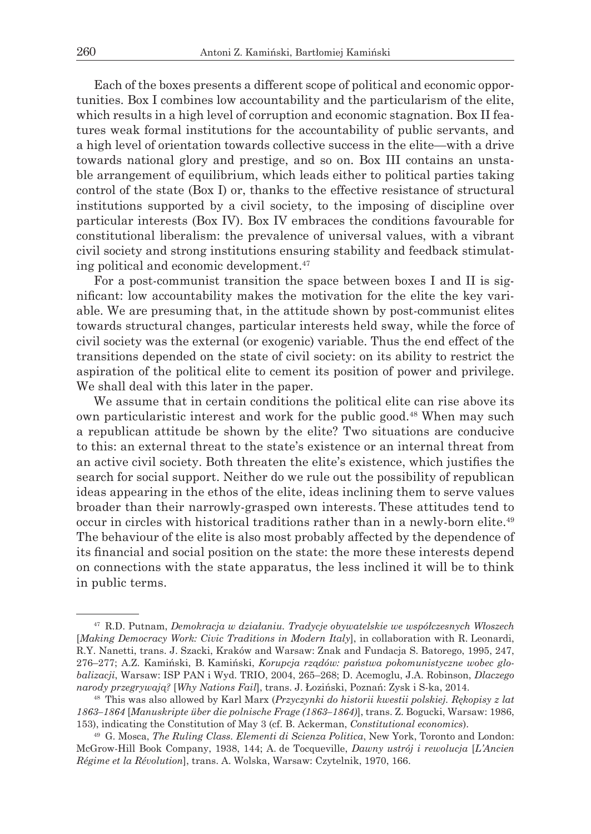Each of the boxes presents a different scope of political and economic opportunities. Box I combines low accountability and the particularism of the elite, which results in a high level of corruption and economic stagnation. Box II features weak formal institutions for the accountability of public servants, and a high level of orientation towards collective success in the elite—with a drive towards national glory and prestige, and so on. Box III contains an unstable arrangement of equilibrium, which leads either to political parties taking control of the state (Box I) or, thanks to the effective resistance of structural institutions supported by a civil society, to the imposing of discipline over particular interests (Box IV). Box IV embraces the conditions favourable for constitutional liberalism: the prevalence of universal values, with a vibrant civil society and strong institutions ensuring stability and feedback stimulating political and economic development.47

For a post-communist transition the space between boxes I and II is significant: low accountability makes the motivation for the elite the key variable. We are presuming that, in the attitude shown by post-communist elites towards structural changes, particular interests held sway, while the force of civil society was the external (or exogenic) variable. Thus the end effect of the transitions depended on the state of civil society: on its ability to restrict the aspiration of the political elite to cement its position of power and privilege. We shall deal with this later in the paper.

We assume that in certain conditions the political elite can rise above its own particularistic interest and work for the public good.48 When may such a republican attitude be shown by the elite? Two situations are conducive to this: an external threat to the state's existence or an internal threat from an active civil society. Both threaten the elite's existence, which justifies the search for social support. Neither do we rule out the possibility of republican ideas appearing in the ethos of the elite, ideas inclining them to serve values broader than their narrowly-grasped own interests. These attitudes tend to occur in circles with historical traditions rather than in a newly-born elite.49 The behaviour of the elite is also most probably affected by the dependence of its financial and social position on the state: the more these interests depend on connections with the state apparatus, the less inclined it will be to think in public terms.

<sup>47</sup> R.D. Putnam, *Demokracja w działaniu. Tradycje obywatelskie we współczesnych Włoszech*  [*Making Democracy Work: Civic Traditions in Modern Italy*], in collaboration with R. Leonardi, R.Y. Nanetti, trans. J. Szacki, Kraków and Warsaw: Znak and Fundacja S. Batorego, 1995, 247, 276–277; A.Z. Kamiński, B. Kamiński, *Korupcja rządów: państwa pokomunistyczne wobec globalizacji*, Warsaw: ISP PAN i Wyd. TRIO, 2004, 265–268; D. Acemoglu, J.A. Robinson, *Dlaczego narody przegrywają?* [*Why Nations Fail*], trans. J. Łoziński, Poznań: Zysk i S-ka, 2014.

<sup>48</sup> This was also allowed by Karl Marx (*Przyczynki do historii kwestii polskiej. Rękopisy z lat 1863–1864* [*Manuskripte über die polnische Frage (1863–1864)*], trans. Z. Bogucki, Warsaw: 1986, 153), indicating the Constitution of May 3 (cf. B. Ackerman, *Constitutional economics*).

<sup>49</sup> G. Mosca, *The Ruling Class. Elementi di Scienza Politica*, New York, Toronto and London: McGrow-Hill Book Company, 1938, 144; A. de Tocqueville, *Dawny ustrój i rewolucja* [*L'Ancien Régime et la Révolution*], trans. A. Wolska, Warsaw: Czytelnik, 1970, 166.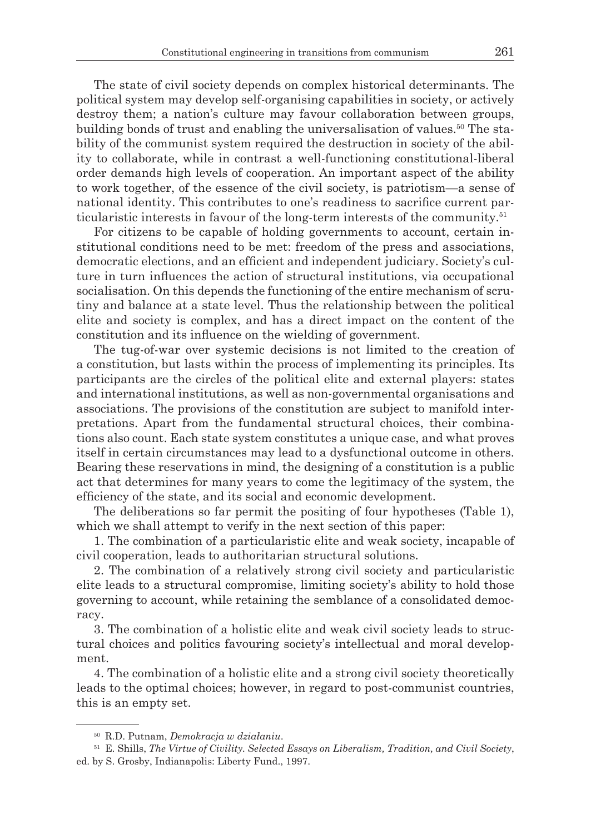The state of civil society depends on complex historical determinants. The political system may develop self-organising capabilities in society, or actively destroy them; a nation's culture may favour collaboration between groups, building bonds of trust and enabling the universalisation of values.50 The stability of the communist system required the destruction in society of the ability to collaborate, while in contrast a well-functioning constitutional-liberal order demands high levels of cooperation. An important aspect of the ability to work together, of the essence of the civil society, is patriotism—a sense of national identity. This contributes to one's readiness to sacrifice current particularistic interests in favour of the long-term interests of the community.51

For citizens to be capable of holding governments to account, certain institutional conditions need to be met: freedom of the press and associations, democratic elections, and an efficient and independent judiciary. Society's culture in turn influences the action of structural institutions, via occupational socialisation. On this depends the functioning of the entire mechanism of scrutiny and balance at a state level. Thus the relationship between the political elite and society is complex, and has a direct impact on the content of the constitution and its influence on the wielding of government.

The tug-of-war over systemic decisions is not limited to the creation of a constitution, but lasts within the process of implementing its principles. Its participants are the circles of the political elite and external players: states and international institutions, as well as non-governmental organisations and associations. The provisions of the constitution are subject to manifold interpretations. Apart from the fundamental structural choices, their combinations also count. Each state system constitutes a unique case, and what proves itself in certain circumstances may lead to a dysfunctional outcome in others. Bearing these reservations in mind, the designing of a constitution is a public act that determines for many years to come the legitimacy of the system, the efficiency of the state, and its social and economic development.

The deliberations so far permit the positing of four hypotheses (Table 1), which we shall attempt to verify in the next section of this paper:

1. The combination of a particularistic elite and weak society, incapable of civil cooperation, leads to authoritarian structural solutions.

2. The combination of a relatively strong civil society and particularistic elite leads to a structural compromise, limiting society's ability to hold those governing to account, while retaining the semblance of a consolidated democracy.

3. The combination of a holistic elite and weak civil society leads to structural choices and politics favouring society's intellectual and moral development.

4. The combination of a holistic elite and a strong civil society theoretically leads to the optimal choices; however, in regard to post-communist countries, this is an empty set.

<sup>50</sup> R.D. Putnam, *Demokracja w działaniu*.

<sup>51</sup> E. Shills, *The Virtue of Civility. Selected Essays on Liberalism, Tradition, and Civil Society*, ed. by S. Grosby, Indianapolis: Liberty Fund., 1997.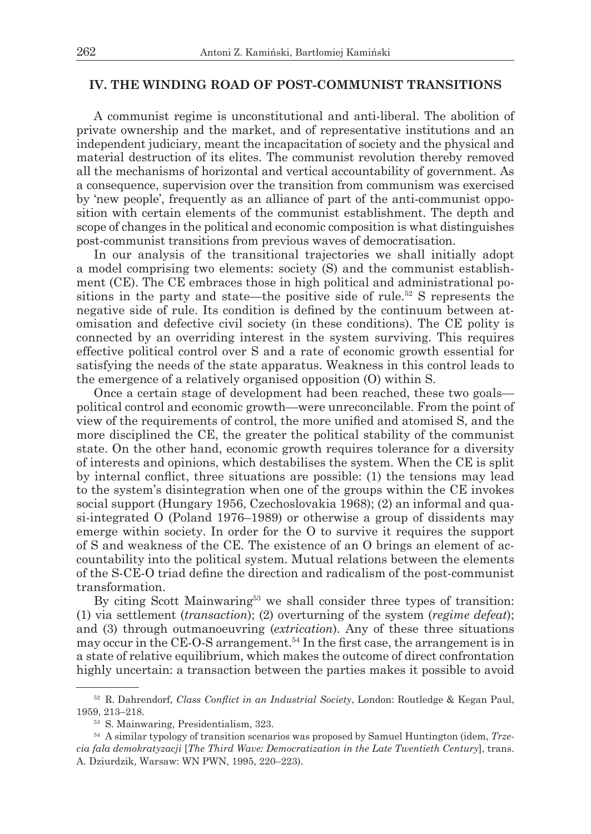### **IV. THE WINDING ROAD OF POST-COMMUNIST TRANSITIONS**

A communist regime is unconstitutional and anti-liberal. The abolition of private ownership and the market, and of representative institutions and an independent judiciary, meant the incapacitation of society and the physical and material destruction of its elites. The communist revolution thereby removed all the mechanisms of horizontal and vertical accountability of government. As a consequence, supervision over the transition from communism was exercised by 'new people', frequently as an alliance of part of the anti-communist opposition with certain elements of the communist establishment. The depth and scope of changes in the political and economic composition is what distinguishes post-communist transitions from previous waves of democratisation.

In our analysis of the transitional trajectories we shall initially adopt a model comprising two elements: society (S) and the communist establishment (CE). The CE embraces those in high political and administrational positions in the party and state—the positive side of rule.<sup>52</sup> S represents the negative side of rule. Its condition is defined by the continuum between atomisation and defective civil society (in these conditions). The CE polity is connected by an overriding interest in the system surviving. This requires effective political control over S and a rate of economic growth essential for satisfying the needs of the state apparatus. Weakness in this control leads to the emergence of a relatively organised opposition (O) within S.

Once a certain stage of development had been reached, these two goals political control and economic growth—were unreconcilable. From the point of view of the requirements of control, the more unified and atomised S, and the more disciplined the CE, the greater the political stability of the communist state. On the other hand, economic growth requires tolerance for a diversity of interests and opinions, which destabilises the system. When the CE is split by internal conflict, three situations are possible: (1) the tensions may lead to the system's disintegration when one of the groups within the CE invokes social support (Hungary 1956, Czechoslovakia 1968); (2) an informal and quasi-integrated O (Poland 1976–1989) or otherwise a group of dissidents may emerge within society. In order for the O to survive it requires the support of S and weakness of the CE. The existence of an O brings an element of accountability into the political system. Mutual relations between the elements of the S-CE-O triad define the direction and radicalism of the post-communist transformation.

By citing Scott Mainwaring<sup>53</sup> we shall consider three types of transition: (1) via settlement (*transaction*); (2) overturning of the system (*regime defeat*); and (3) through outmanoeuvring (*extrication*). Any of these three situations may occur in the CE-O-S arrangement.<sup>54</sup> In the first case, the arrangement is in a state of relative equilibrium, which makes the outcome of direct confrontation highly uncertain: a transaction between the parties makes it possible to avoid

<sup>52</sup> R. Dahrendorf, *Class Conflict in an Industrial Society*, London: Routledge & Kegan Paul, 1959, 213–218.

<sup>53</sup> S. Mainwaring, Presidentialism, 323.

<sup>54</sup> A similar typology of transition scenarios was proposed by Samuel Huntington (idem, *Trzecia fala demokratyzacji* [*The Third Wave: Democratization in the Late Twentieth Century*], trans. A. Dziurdzik, Warsaw: WN PWN, 1995, 220–223).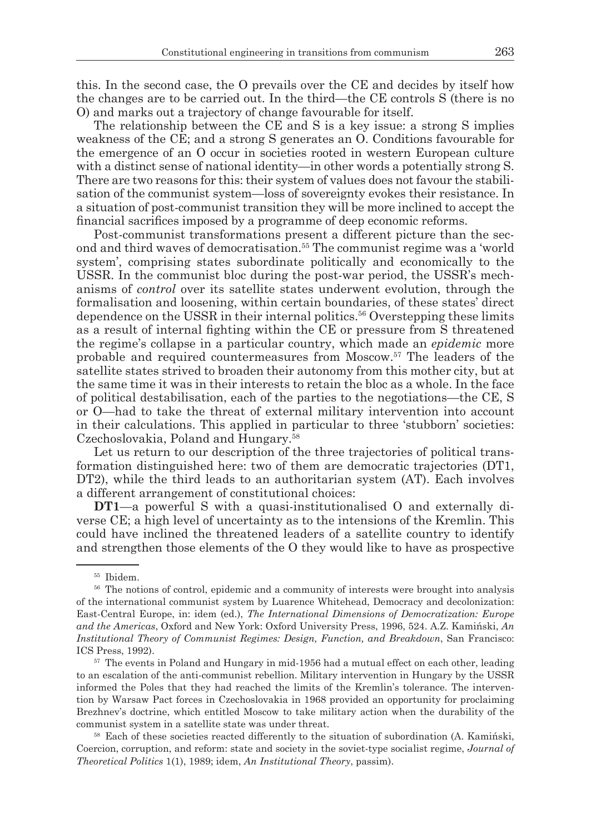this. In the second case, the O prevails over the CE and decides by itself how the changes are to be carried out. In the third—the CE controls S (there is no O) and marks out a trajectory of change favourable for itself.

The relationship between the CE and S is a key issue: a strong S implies weakness of the CE; and a strong S generates an O. Conditions favourable for the emergence of an O occur in societies rooted in western European culture with a distinct sense of national identity—in other words a potentially strong S. There are two reasons for this: their system of values does not favour the stabilisation of the communist system—loss of sovereignty evokes their resistance. In a situation of post-communist transition they will be more inclined to accept the financial sacrifices imposed by a programme of deep economic reforms.

Post-communist transformations present a different picture than the second and third waves of democratisation.<sup>55</sup> The communist regime was a 'world system', comprising states subordinate politically and economically to the USSR. In the communist bloc during the post-war period, the USSR's mechanisms of *control* over its satellite states underwent evolution, through the formalisation and loosening, within certain boundaries, of these states' direct dependence on the USSR in their internal politics.<sup>56</sup> Overstepping these limits as a result of internal fighting within the CE or pressure from S threatened the regime's collapse in a particular country, which made an *epidemic* more probable and required countermeasures from Moscow.57 The leaders of the satellite states strived to broaden their autonomy from this mother city, but at the same time it was in their interests to retain the bloc as a whole. In the face of political destabilisation, each of the parties to the negotiations—the CE, S or O—had to take the threat of external military intervention into account in their calculations. This applied in particular to three 'stubborn' societies: Czechoslovakia, Poland and Hungary.58

Let us return to our description of the three trajectories of political transformation distinguished here: two of them are democratic trajectories (DT1, DT2), while the third leads to an authoritarian system (AT). Each involves a different arrangement of constitutional choices:

**DT1**—a powerful S with a quasi-institutionalised O and externally diverse CE; a high level of uncertainty as to the intensions of the Kremlin. This could have inclined the threatened leaders of a satellite country to identify and strengthen those elements of the O they would like to have as prospective

<sup>57</sup> The events in Poland and Hungary in mid-1956 had a mutual effect on each other, leading to an escalation of the anti-communist rebellion. Military intervention in Hungary by the USSR informed the Poles that they had reached the limits of the Kremlin's tolerance. The intervention by Warsaw Pact forces in Czechoslovakia in 1968 provided an opportunity for proclaiming Brezhnev's doctrine, which entitled Moscow to take military action when the durability of the communist system in a satellite state was under threat. 58 Each of these societies reacted differently to the situation of subordination (A. Kamiński,

Coercion, corruption, and reform: state and society in the soviet-type socialist regime, *Journal of Theoretical Politics* 1(1), 1989; idem, *An Institutional Theory*, passim).

<sup>55</sup> Ibidem.

<sup>&</sup>lt;sup>56</sup> The notions of control, epidemic and a community of interests were brought into analysis of the international communist system by Luarence Whitehead, Democracy and decolonization: East-Central Europe, in: idem (ed.), *The International Dimensions of Democratization: Europe and the Americas*, Oxford and New York: Oxford University Press, 1996, 524. A.Z. Kamiński, *An Institutional Theory of Communist Regimes: Design, Function, and Breakdown*, San Francisco: ICS Press, 1992).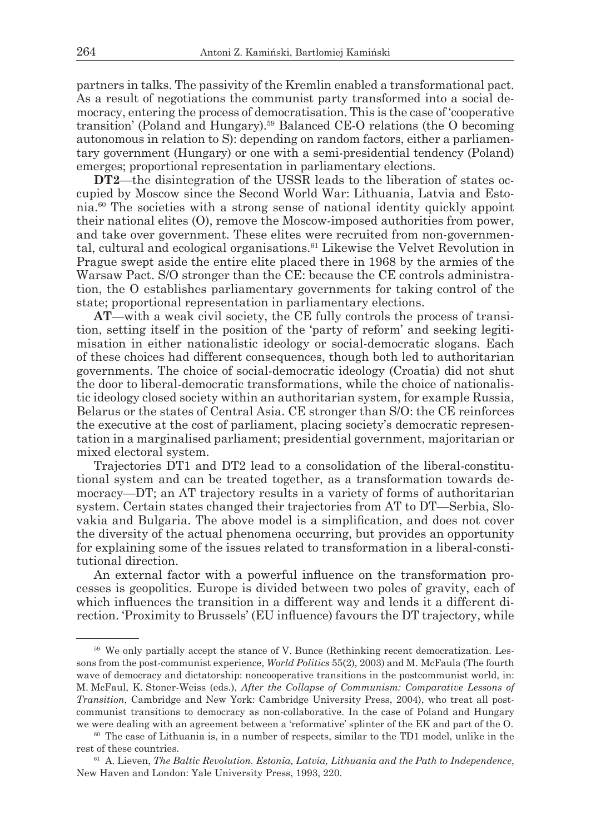partners in talks. The passivity of the Kremlin enabled a transformational pact. As a result of negotiations the communist party transformed into a social democracy, entering the process of democratisation. This is the case of 'cooperative transition' (Poland and Hungary).59 Balanced CE-O relations (the O becoming autonomous in relation to S): depending on random factors, either a parliamentary government (Hungary) or one with a semi-presidential tendency (Poland) emerges; proportional representation in parliamentary elections.

**DT2**—the disintegration of the USSR leads to the liberation of states occupied by Moscow since the Second World War: Lithuania, Latvia and Estonia.60 The societies with a strong sense of national identity quickly appoint their national elites (O), remove the Moscow-imposed authorities from power, and take over government. These elites were recruited from non-governmental, cultural and ecological organisations.<sup>61</sup> Likewise the Velvet Revolution in Prague swept aside the entire elite placed there in 1968 by the armies of the Warsaw Pact. S/O stronger than the CE: because the CE controls administration, the O establishes parliamentary governments for taking control of the state; proportional representation in parliamentary elections.

**AT**—with a weak civil society, the CE fully controls the process of transition, setting itself in the position of the 'party of reform' and seeking legitimisation in either nationalistic ideology or social-democratic slogans. Each of these choices had different consequences, though both led to authoritarian governments. The choice of social-democratic ideology (Croatia) did not shut the door to liberal-democratic transformations, while the choice of nationalistic ideology closed society within an authoritarian system, for example Russia, Belarus or the states of Central Asia. CE stronger than S/O: the CE reinforces the executive at the cost of parliament, placing society's democratic representation in a marginalised parliament; presidential government, majoritarian or mixed electoral system.

Trajectories DT1 and DT2 lead to a consolidation of the liberal-constitutional system and can be treated together, as a transformation towards democracy—DT; an AT trajectory results in a variety of forms of authoritarian system. Certain states changed their trajectories from AT to DT—Serbia, Slovakia and Bulgaria. The above model is a simplification, and does not cover the diversity of the actual phenomena occurring, but provides an opportunity for explaining some of the issues related to transformation in a liberal-constitutional direction.

An external factor with a powerful influence on the transformation processes is geopolitics. Europe is divided between two poles of gravity, each of which influences the transition in a different way and lends it a different direction. 'Proximity to Brussels' (EU influence) favours the DT trajectory, while

<sup>59</sup> We only partially accept the stance of V. Bunce (Rethinking recent democratization. Lessons from the post-communist experience, *World Politics* 55(2), 2003) and M. McFaula (The fourth wave of democracy and dictatorship: noncooperative transitions in the postcommunist world, in: M. McFaul, K. Stoner-Weiss (eds.), *After the Collapse of Communism: Comparative Lessons of Transition*, Cambridge and New York: Cambridge University Press, 2004), who treat all postcommunist transitions to democracy as non-collaborative. In the case of Poland and Hungary we were dealing with an agreement between a 'reformative' splinter of the EK and part of the O.

 $60$  The case of Lithuania is, in a number of respects, similar to the TD1 model, unlike in the rest of these countries.

<sup>61</sup> A. Lieven, *The Baltic Revolution. Estonia, Latvia, Lithuania and the Path to Independence*, New Haven and London: Yale University Press, 1993, 220.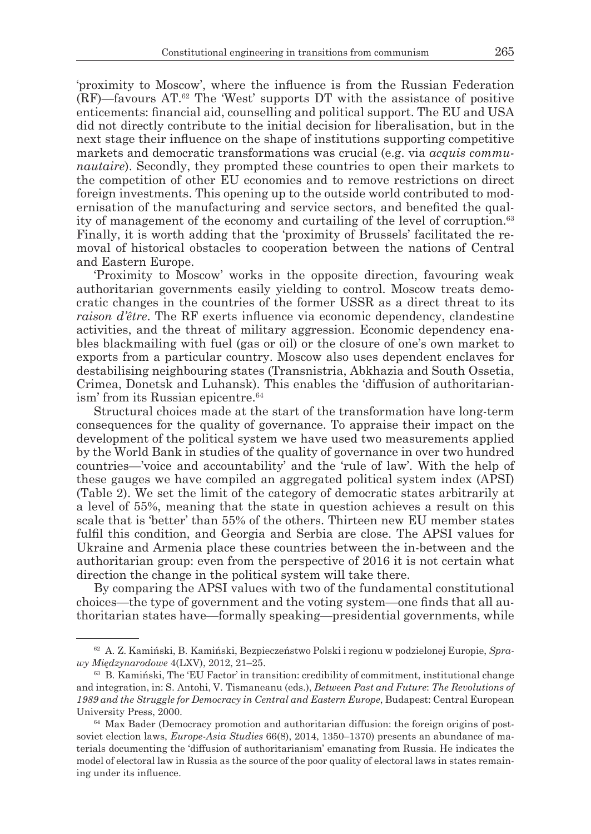'proximity to Moscow', where the influence is from the Russian Federation (RF)—favours AT.<sup>62</sup> The 'West' supports DT with the assistance of positive enticements: financial aid, counselling and political support. The EU and USA did not directly contribute to the initial decision for liberalisation, but in the next stage their influence on the shape of institutions supporting competitive markets and democratic transformations was crucial (e.g. via *acquis communautaire*). Secondly, they prompted these countries to open their markets to the competition of other EU economies and to remove restrictions on direct foreign investments. This opening up to the outside world contributed to modernisation of the manufacturing and service sectors, and benefited the quality of management of the economy and curtailing of the level of corruption.<sup>63</sup> Finally, it is worth adding that the 'proximity of Brussels' facilitated the removal of historical obstacles to cooperation between the nations of Central and Eastern Europe.

'Proximity to Moscow' works in the opposite direction, favouring weak authoritarian governments easily yielding to control. Moscow treats democratic changes in the countries of the former USSR as a direct threat to its *raison d'être*. The RF exerts influence via economic dependency, clandestine activities, and the threat of military aggression. Economic dependency enables blackmailing with fuel (gas or oil) or the closure of one's own market to exports from a particular country. Moscow also uses dependent enclaves for destabilising neighbouring states (Transnistria, Abkhazia and South Ossetia, Crimea, Donetsk and Luhansk). This enables the 'diffusion of authoritarianism' from its Russian epicentre.<sup>64</sup>

Structural choices made at the start of the transformation have long-term consequences for the quality of governance. To appraise their impact on the development of the political system we have used two measurements applied by the World Bank in studies of the quality of governance in over two hundred countries—'voice and accountability' and the 'rule of law'. With the help of these gauges we have compiled an aggregated political system index (APSI) (Table 2). We set the limit of the category of democratic states arbitrarily at a level of 55%, meaning that the state in question achieves a result on this scale that is 'better' than 55% of the others. Thirteen new EU member states fulfil this condition, and Georgia and Serbia are close. The APSI values for Ukraine and Armenia place these countries between the in-between and the authoritarian group: even from the perspective of 2016 it is not certain what direction the change in the political system will take there.

By comparing the APSI values with two of the fundamental constitutional choices—the type of government and the voting system—one finds that all authoritarian states have—formally speaking—presidential governments, while

<sup>62</sup> A. Z. Kamiński, B. Kamiński, Bezpieczeństwo Polski i regionu w podzielonej Europie, *Sprawy Międzynarodowe* 4(LXV), 2012, 21–25.

<sup>63</sup> B. Kamiński, The 'EU Factor' in transition: credibility of commitment, institutional change and integration, in: S. Antohi, V. Tismaneanu (eds.), *Between Past and Future*: *The Revolutions of 1989 and the Struggle for Democracy in Central and Eastern Europe*, Budapest: Central European University Press, 2000.

 $64$  Max Bader (Democracy promotion and authoritarian diffusion: the foreign origins of postsoviet election laws, *Europe-Asia Studies* 66(8), 2014, 1350–1370) presents an abundance of materials documenting the 'diffusion of authoritarianism' emanating from Russia. He indicates the model of electoral law in Russia as the source of the poor quality of electoral laws in states remaining under its influence.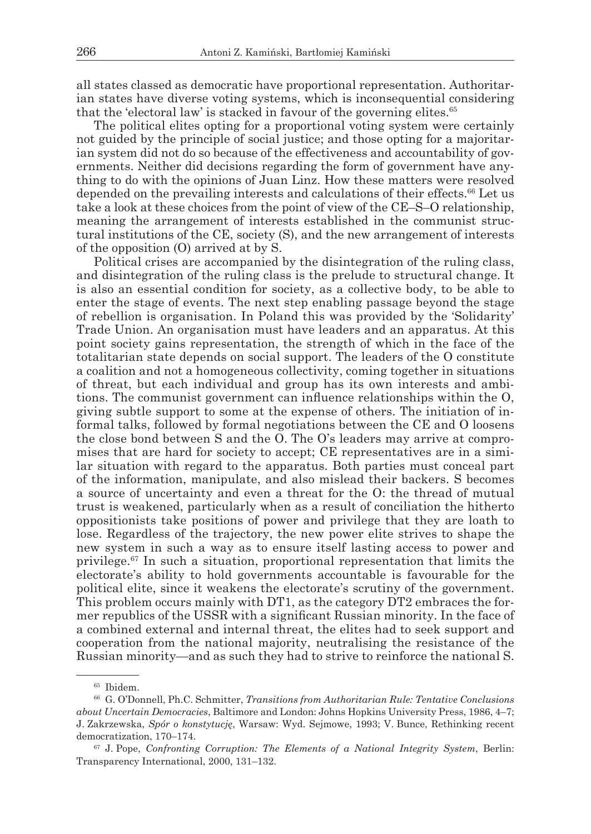all states classed as democratic have proportional representation. Authoritarian states have diverse voting systems, which is inconsequential considering that the 'electoral law' is stacked in favour of the governing elites.<sup>65</sup>

The political elites opting for a proportional voting system were certainly not guided by the principle of social justice; and those opting for a majoritarian system did not do so because of the effectiveness and accountability of governments. Neither did decisions regarding the form of government have anything to do with the opinions of Juan Linz. How these matters were resolved depended on the prevailing interests and calculations of their effects.66 Let us take a look at these choices from the point of view of the CE–S–O relationship, meaning the arrangement of interests established in the communist structural institutions of the CE, society (S), and the new arrangement of interests of the opposition (O) arrived at by S.

Political crises are accompanied by the disintegration of the ruling class, and disintegration of the ruling class is the prelude to structural change. It is also an essential condition for society, as a collective body, to be able to enter the stage of events. The next step enabling passage beyond the stage of rebellion is organisation. In Poland this was provided by the 'Solidarity' Trade Union. An organisation must have leaders and an apparatus. At this point society gains representation, the strength of which in the face of the totalitarian state depends on social support. The leaders of the O constitute a coalition and not a homogeneous collectivity, coming together in situations of threat, but each individual and group has its own interests and ambitions. The communist government can influence relationships within the O, giving subtle support to some at the expense of others. The initiation of informal talks, followed by formal negotiations between the CE and O loosens the close bond between S and the O. The O's leaders may arrive at compromises that are hard for society to accept; CE representatives are in a similar situation with regard to the apparatus. Both parties must conceal part of the information, manipulate, and also mislead their backers. S becomes a source of uncertainty and even a threat for the O: the thread of mutual trust is weakened, particularly when as a result of conciliation the hitherto oppositionists take positions of power and privilege that they are loath to lose. Regardless of the trajectory, the new power elite strives to shape the new system in such a way as to ensure itself lasting access to power and privilege.67 In such a situation, proportional representation that limits the electorate's ability to hold governments accountable is favourable for the political elite, since it weakens the electorate's scrutiny of the government. This problem occurs mainly with DT1, as the category DT2 embraces the former republics of the USSR with a significant Russian minority. In the face of a combined external and internal threat, the elites had to seek support and cooperation from the national majority, neutralising the resistance of the Russian minority—and as such they had to strive to reinforce the national S.

<sup>65</sup> Ibidem.

<sup>66</sup> G. O'Donnell, Ph.C. Schmitter, *Transitions from Authoritarian Rule: Tentative Conclusions about Uncertain Democracies*, Baltimore and London: Johns Hopkins University Press, 1986, 4–7; J. Zakrzewska, *Spór o konstytucję*, Warsaw: Wyd. Sejmowe, 1993; V. Bunce, Rethinking recent democratization, 170–174.

<sup>67</sup> J. Pope, *Confronting Corruption: The Elements of a National Integrity System*, Berlin: Transparency International, 2000, 131–132.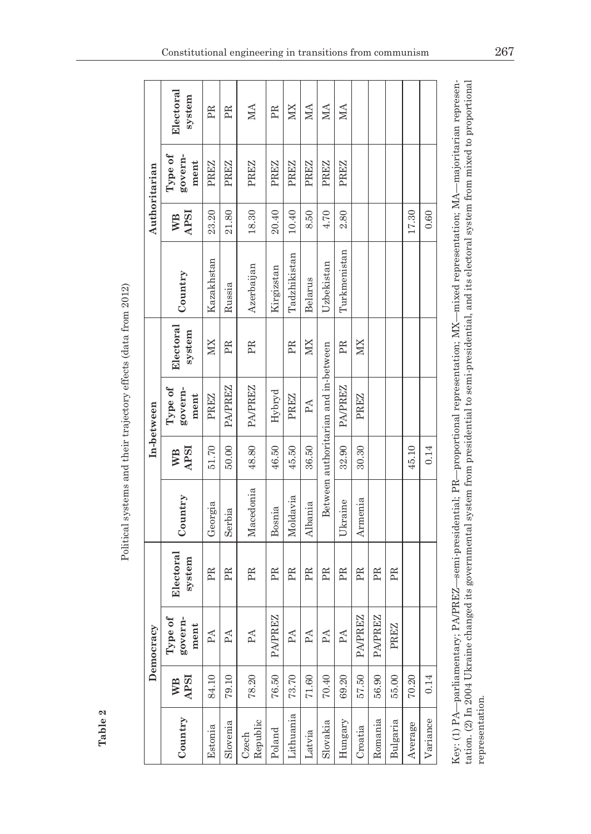| Authoritarian | Electoral<br>system                   | PR          | PR          | МA                | PR             | XIX          | МA           | МA                                   | МA           |                |         |           |         |          |
|---------------|---------------------------------------|-------------|-------------|-------------------|----------------|--------------|--------------|--------------------------------------|--------------|----------------|---------|-----------|---------|----------|
|               | Type of<br>govern-<br>ment            | <b>PREZ</b> | <b>PREZ</b> | PREZ              | PREZ           | PREZ         | PREZ         | PREZ                                 | PREZ         |                |         |           |         |          |
|               | <b>APSI</b><br>WВ                     | 23.20       | 21.80       | 18.30             | 20.40          | 10.40        | 8.50         | 4.70                                 | 2.80         |                |         |           | 17.30   | 0.60     |
|               | Country                               | Kazakhstan  | Russia      | Azerbaijan        | Kirgizstan     | Tadzhikistan | Belarus      | Uzbekistan                           | Turkmenistan |                |         |           |         |          |
| In-between    | Electoral<br>system                   | XIX         | PR          | PR                |                | PR           | XIX          |                                      | PR           | XIX            |         |           |         |          |
|               | ${\rm Type\ of\ }$<br>govern-<br>ment | <b>PREZ</b> | PA/PREZ     | PA/PREZ           | $H$ ybryd      | PREZ         | PA           | Between authoritarian and in-between | PA/PREZ      | PREZ           |         |           |         |          |
|               | <b>APSI</b><br>WB                     | 51.70       | 50.00       | 48.80             | 46.50          | 45.50        | 36.50        |                                      | 32.90        | 30.30          |         |           | 45.10   | 0.14     |
|               | Country                               | Georgia     | Serbia      | Macedonia         | Bosnia         | Moldavia     | Albania      |                                      | Ukraine      | Armenia        |         |           |         |          |
| Democracy     | Electoral<br>system                   | PR          | PR          | PR                | PR             | PR           | PR           | PR                                   | PR           | PR             | PR      | PR        |         |          |
|               | Type of<br>govern-<br>ment            | PA          | PA          | $\mathbb{A}$      | <b>PA/PREZ</b> | PA           | $\mathbb{A}$ | $\mathbb{A}$                         | $\mathbb{A}$ | <b>PA/PREZ</b> | PA/PREZ | EZ<br>PRI |         |          |
|               | <b>APSI</b><br>WВ                     | 84.10       | 79.10       | 78.20             | 76.50          | 73.70        | 71.60        | 70.40                                | 69.20        | 57.50          | 56.90   | 55.00     | 70.20   | 0.14     |
|               | Country                               | Estonia     | Slovenia    | Republic<br>Czech | Poland         | Lithuania    | Latvia       | Slovaka                              | Hungary      | Croatia        | Romania | Bulgaria  | Average | Variance |

Political systems and their trajectory effects (data from 2012) Political systems and their trajectory effects (data from 2012)

**Table 2**

tation. (2) In 2004 Ukraine changed its governmental system from presidential to semi-presidential, and its electoral system from mixed to proportional Key: (1) PA—parliamentary; PAPREZ—semi-presidential; PR—proportional representation; MX—mixed representation; MA—majoritarian representation. (2) In 2004 Ukraine changed its governmental system from presidential to semi-presidential, and its electoral system from mixed to proportional Key: (1) PA—parliamentary; PA/PREZ—semi-presidential; PR—proportional representation; MX—mixed representation; MA—majoritarian represenrepresentation. representation.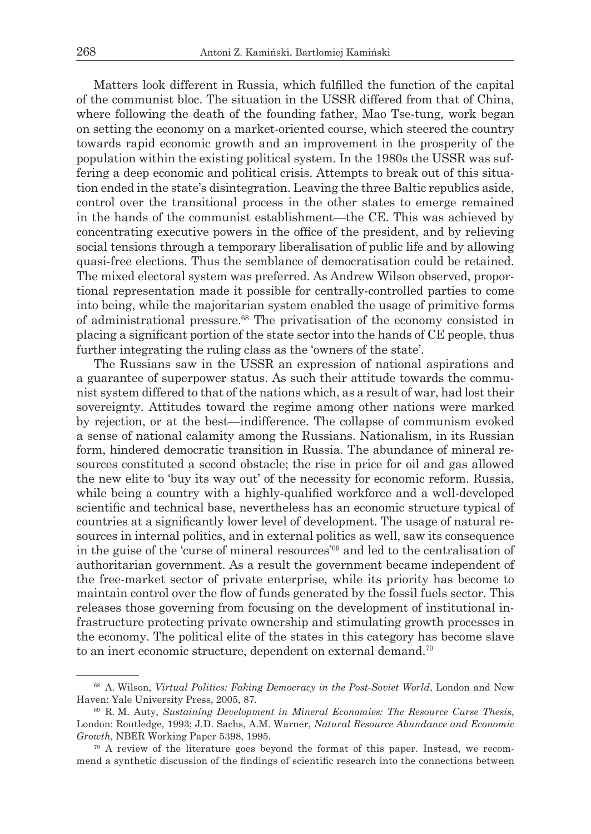Matters look different in Russia, which fulfilled the function of the capital of the communist bloc. The situation in the USSR differed from that of China, where following the death of the founding father, Mao Tse-tung, work began on setting the economy on a market-oriented course, which steered the country towards rapid economic growth and an improvement in the prosperity of the population within the existing political system. In the 1980s the USSR was suffering a deep economic and political crisis. Attempts to break out of this situation ended in the state's disintegration. Leaving the three Baltic republics aside, control over the transitional process in the other states to emerge remained in the hands of the communist establishment—the CE. This was achieved by concentrating executive powers in the office of the president, and by relieving social tensions through a temporary liberalisation of public life and by allowing quasi-free elections. Thus the semblance of democratisation could be retained. The mixed electoral system was preferred. As Andrew Wilson observed, proportional representation made it possible for centrally-controlled parties to come into being, while the majoritarian system enabled the usage of primitive forms of administrational pressure.68 The privatisation of the economy consisted in placing a significant portion of the state sector into the hands of CE people, thus further integrating the ruling class as the 'owners of the state'.

The Russians saw in the USSR an expression of national aspirations and a guarantee of superpower status. As such their attitude towards the communist system differed to that of the nations which, as a result of war, had lost their sovereignty. Attitudes toward the regime among other nations were marked by rejection, or at the best—indifference. The collapse of communism evoked a sense of national calamity among the Russians. Nationalism, in its Russian form, hindered democratic transition in Russia. The abundance of mineral resources constituted a second obstacle; the rise in price for oil and gas allowed the new elite to 'buy its way out' of the necessity for economic reform. Russia, while being a country with a highly-qualified workforce and a well-developed scientific and technical base, nevertheless has an economic structure typical of countries at a significantly lower level of development. The usage of natural resources in internal politics, and in external politics as well, saw its consequence in the guise of the 'curse of mineral resources'69 and led to the centralisation of authoritarian government. As a result the government became independent of the free-market sector of private enterprise, while its priority has become to maintain control over the flow of funds generated by the fossil fuels sector. This releases those governing from focusing on the development of institutional infrastructure protecting private ownership and stimulating growth processes in the economy. The political elite of the states in this category has become slave to an inert economic structure, dependent on external demand.<sup>70</sup>

<sup>68</sup> A. Wilson, *Virtual Politics: Faking Democracy in the Post-Soviet World*, London and New Haven: Yale University Press, 2005, 87.

<sup>69</sup> R. M. Auty, *Sustaining Development in Mineral Economies: The Resource Curse Thesis*, London: Routledge, 1993; J.D. Sachs, A.M. Warner, *Natural Resource Abundance and Economic Growth*, NBER Working Paper 5398, 1995.

 $70$  A review of the literature goes beyond the format of this paper. Instead, we recommend a synthetic discussion of the findings of scientific research into the connections between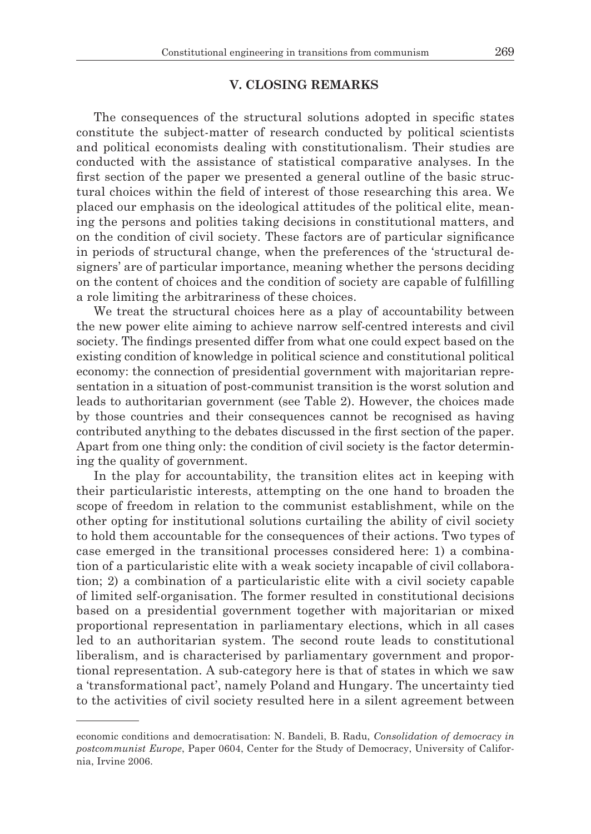### **V. CLOSING REMARKS**

The consequences of the structural solutions adopted in specific states constitute the subject-matter of research conducted by political scientists and political economists dealing with constitutionalism. Their studies are conducted with the assistance of statistical comparative analyses. In the first section of the paper we presented a general outline of the basic structural choices within the field of interest of those researching this area. We placed our emphasis on the ideological attitudes of the political elite, meaning the persons and polities taking decisions in constitutional matters, and on the condition of civil society. These factors are of particular significance in periods of structural change, when the preferences of the 'structural designers' are of particular importance, meaning whether the persons deciding on the content of choices and the condition of society are capable of fulfilling a role limiting the arbitrariness of these choices.

We treat the structural choices here as a play of accountability between the new power elite aiming to achieve narrow self-centred interests and civil society. The findings presented differ from what one could expect based on the existing condition of knowledge in political science and constitutional political economy: the connection of presidential government with majoritarian representation in a situation of post-communist transition is the worst solution and leads to authoritarian government (see Table 2). However, the choices made by those countries and their consequences cannot be recognised as having contributed anything to the debates discussed in the first section of the paper. Apart from one thing only: the condition of civil society is the factor determining the quality of government.

In the play for accountability, the transition elites act in keeping with their particularistic interests, attempting on the one hand to broaden the scope of freedom in relation to the communist establishment, while on the other opting for institutional solutions curtailing the ability of civil society to hold them accountable for the consequences of their actions. Two types of case emerged in the transitional processes considered here: 1) a combination of a particularistic elite with a weak society incapable of civil collaboration; 2) a combination of a particularistic elite with a civil society capable of limited self-organisation. The former resulted in constitutional decisions based on a presidential government together with majoritarian or mixed proportional representation in parliamentary elections, which in all cases led to an authoritarian system. The second route leads to constitutional liberalism, and is characterised by parliamentary government and proportional representation. A sub-category here is that of states in which we saw a 'transformational pact', namely Poland and Hungary. The uncertainty tied to the activities of civil society resulted here in a silent agreement between

economic conditions and democratisation: N. Bandeli, B. Radu, *Consolidation of democracy in postcommunist Europe*, Paper 0604, Center for the Study of Democracy, University of California, Irvine 2006.